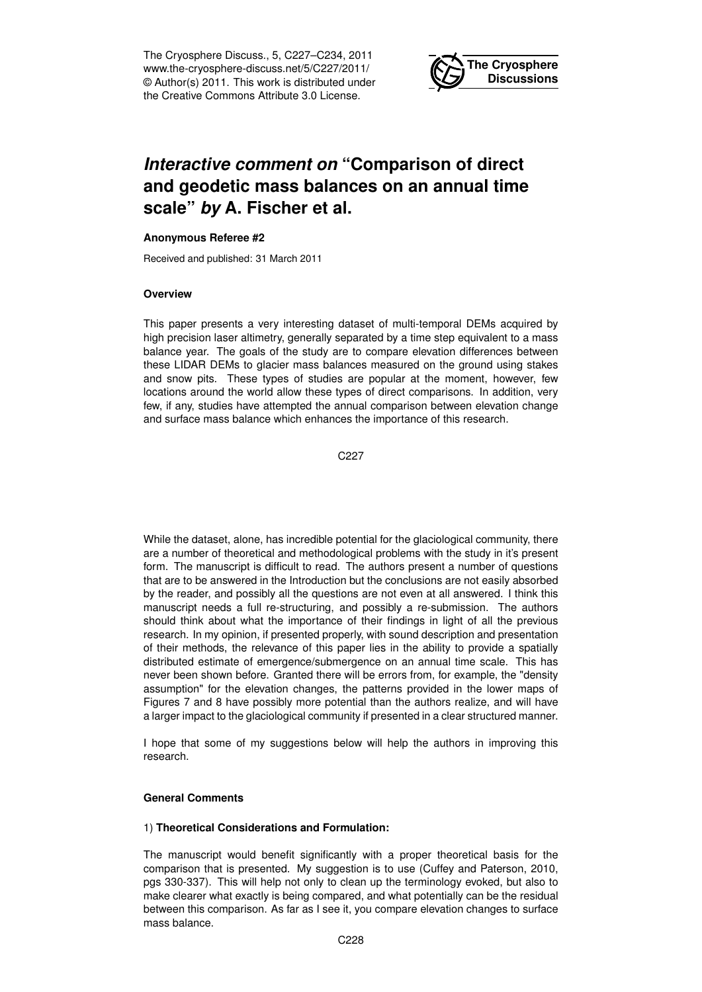The Cryosphere Discuss., 5, C227–C234, 2011 www.the-cryosphere-discuss.net/5/C227/2011/ © Author(s) 2011. This work is distributed under the Creative Commons Attribute 3.0 License.



# *Interactive comment on* **"Comparison of direct and geodetic mass balances on an annual time scale"** *by* **A. Fischer et al.**

# **Anonymous Referee #2**

Received and published: 31 March 2011

## **Overview**

This paper presents a very interesting dataset of multi-temporal DEMs acquired by high precision laser altimetry, generally separated by a time step equivalent to a mass balance year. The goals of the study are to compare elevation differences between these LIDAR DEMs to glacier mass balances measured on the ground using stakes and snow pits. These types of studies are popular at the moment, however, few locations around the world allow these types of direct comparisons. In addition, very few, if any, studies have attempted the annual comparison between elevation change and surface mass balance which enhances the importance of this research.

C227

While the dataset, alone, has incredible potential for the glaciological community, there are a number of theoretical and methodological problems with the study in it's present form. The manuscript is difficult to read. The authors present a number of questions that are to be answered in the Introduction but the conclusions are not easily absorbed by the reader, and possibly all the questions are not even at all answered. I think this manuscript needs a full re-structuring, and possibly a re-submission. The authors should think about what the importance of their findings in light of all the previous research. In my opinion, if presented properly, with sound description and presentation of their methods, the relevance of this paper lies in the ability to provide a spatially distributed estimate of emergence/submergence on an annual time scale. This has never been shown before. Granted there will be errors from, for example, the "density assumption" for the elevation changes, the patterns provided in the lower maps of Figures 7 and 8 have possibly more potential than the authors realize, and will have a larger impact to the glaciological community if presented in a clear structured manner.

I hope that some of my suggestions below will help the authors in improving this research.

## **General Comments**

## 1) **Theoretical Considerations and Formulation:**

The manuscript would benefit significantly with a proper theoretical basis for the comparison that is presented. My suggestion is to use (Cuffey and Paterson, 2010, pgs 330-337). This will help not only to clean up the terminology evoked, but also to make clearer what exactly is being compared, and what potentially can be the residual between this comparison. As far as I see it, you compare elevation changes to surface mass balance.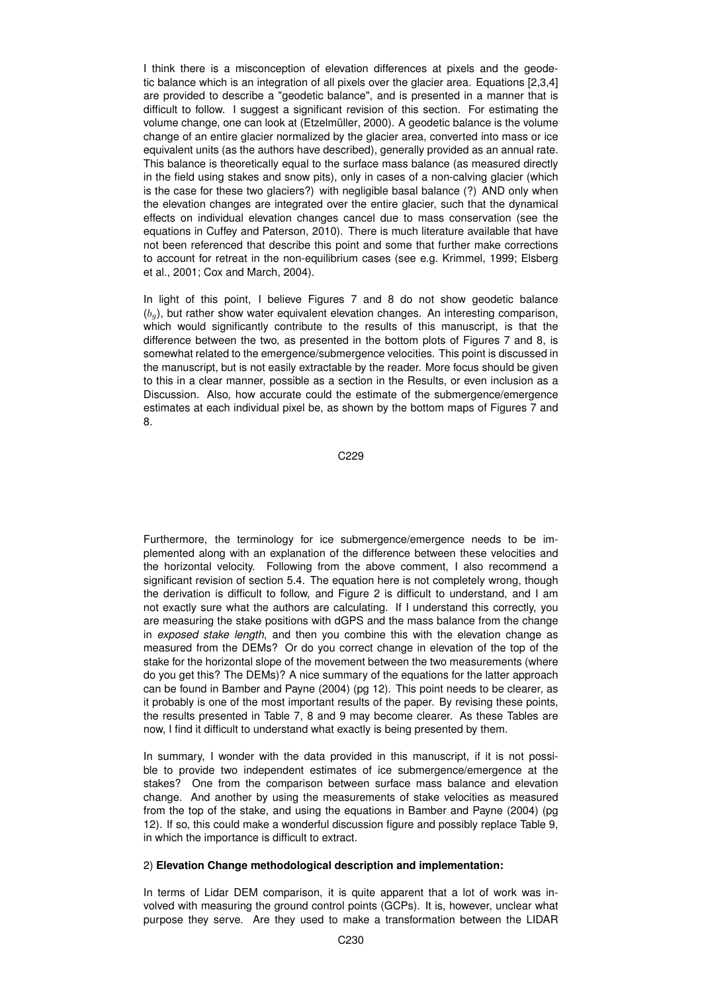I think there is a misconception of elevation differences at pixels and the geodetic balance which is an integration of all pixels over the glacier area. Equations [2,3,4] are provided to describe a "geodetic balance", and is presented in a manner that is difficult to follow. I suggest a significant revision of this section. For estimating the volume change, one can look at (Etzelmüller, 2000). A geodetic balance is the volume change of an entire glacier normalized by the glacier area, converted into mass or ice equivalent units (as the authors have described), generally provided as an annual rate. This balance is theoretically equal to the surface mass balance (as measured directly in the field using stakes and snow pits), only in cases of a non-calving glacier (which is the case for these two glaciers?) with negligible basal balance (?) AND only when the elevation changes are integrated over the entire glacier, such that the dynamical effects on individual elevation changes cancel due to mass conservation (see the equations in Cuffey and Paterson, 2010). There is much literature available that have not been referenced that describe this point and some that further make corrections to account for retreat in the non-equilibrium cases (see e.g. Krimmel, 1999; Elsberg et al., 2001; Cox and March, 2004).

In light of this point, I believe Figures 7 and 8 do not show geodetic balance  $(b_q)$ , but rather show water equivalent elevation changes. An interesting comparison, which would significantly contribute to the results of this manuscript, is that the difference between the two, as presented in the bottom plots of Figures 7 and 8, is somewhat related to the emergence/submergence velocities. This point is discussed in the manuscript, but is not easily extractable by the reader. More focus should be given to this in a clear manner, possible as a section in the Results, or even inclusion as a Discussion. Also, how accurate could the estimate of the submergence/emergence estimates at each individual pixel be, as shown by the bottom maps of Figures 7 and 8.

C229

Furthermore, the terminology for ice submergence/emergence needs to be implemented along with an explanation of the difference between these velocities and the horizontal velocity. Following from the above comment, I also recommend a significant revision of section 5.4. The equation here is not completely wrong, though the derivation is difficult to follow, and Figure 2 is difficult to understand, and I am not exactly sure what the authors are calculating. If I understand this correctly, you are measuring the stake positions with dGPS and the mass balance from the change in *exposed stake length*, and then you combine this with the elevation change as measured from the DEMs? Or do you correct change in elevation of the top of the stake for the horizontal slope of the movement between the two measurements (where do you get this? The DEMs)? A nice summary of the equations for the latter approach can be found in Bamber and Payne (2004) (pg 12). This point needs to be clearer, as it probably is one of the most important results of the paper. By revising these points, the results presented in Table 7, 8 and 9 may become clearer. As these Tables are now, I find it difficult to understand what exactly is being presented by them.

In summary, I wonder with the data provided in this manuscript, if it is not possible to provide two independent estimates of ice submergence/emergence at the stakes? One from the comparison between surface mass balance and elevation change. And another by using the measurements of stake velocities as measured from the top of the stake, and using the equations in Bamber and Payne (2004) (pg 12). If so, this could make a wonderful discussion figure and possibly replace Table 9, in which the importance is difficult to extract.

## 2) **Elevation Change methodological description and implementation:**

In terms of Lidar DEM comparison, it is quite apparent that a lot of work was involved with measuring the ground control points (GCPs). It is, however, unclear what purpose they serve. Are they used to make a transformation between the LIDAR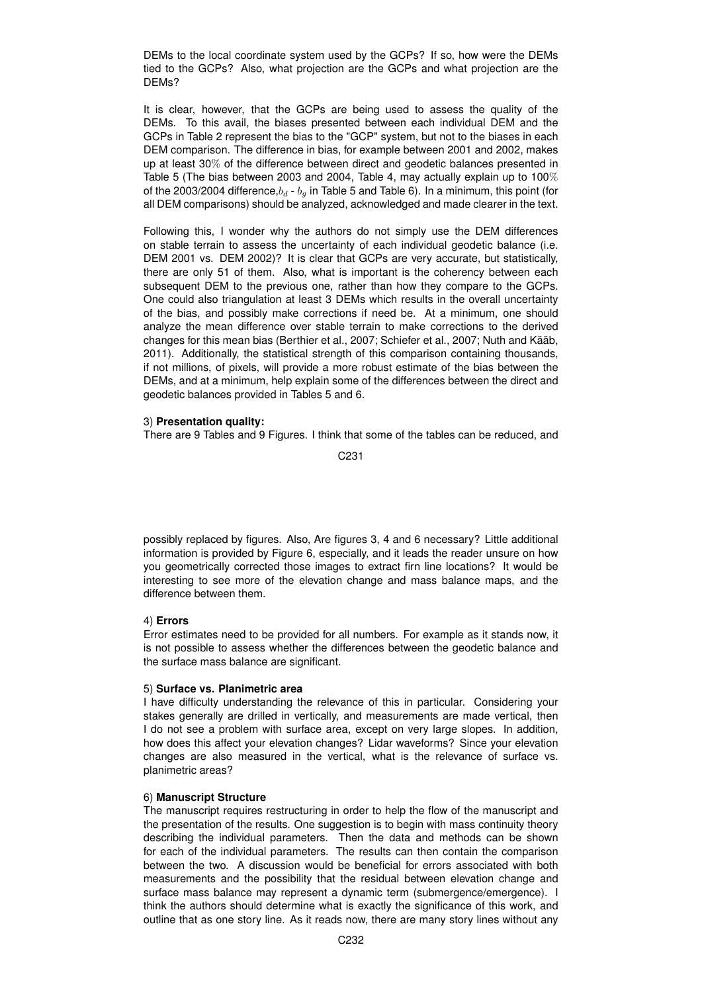DEMs to the local coordinate system used by the GCPs? If so, how were the DEMs tied to the GCPs? Also, what projection are the GCPs and what projection are the DEMs?

It is clear, however, that the GCPs are being used to assess the quality of the DEMs. To this avail, the biases presented between each individual DEM and the GCPs in Table 2 represent the bias to the "GCP" system, but not to the biases in each DEM comparison. The difference in bias, for example between 2001 and 2002, makes up at least 30% of the difference between direct and geodetic balances presented in Table 5 (The bias between 2003 and 2004, Table 4, may actually explain up to 100% of the 2003/2004 difference, $b_d$  -  $b_g$  in Table 5 and Table 6). In a minimum, this point (for all DEM comparisons) should be analyzed, acknowledged and made clearer in the text.

Following this, I wonder why the authors do not simply use the DEM differences on stable terrain to assess the uncertainty of each individual geodetic balance (i.e. DEM 2001 vs. DEM 2002)? It is clear that GCPs are very accurate, but statistically, there are only 51 of them. Also, what is important is the coherency between each subsequent DEM to the previous one, rather than how they compare to the GCPs. One could also triangulation at least 3 DEMs which results in the overall uncertainty of the bias, and possibly make corrections if need be. At a minimum, one should analyze the mean difference over stable terrain to make corrections to the derived changes for this mean bias (Berthier et al., 2007; Schiefer et al., 2007; Nuth and Kääb, 2011). Additionally, the statistical strength of this comparison containing thousands, if not millions, of pixels, will provide a more robust estimate of the bias between the DEMs, and at a minimum, help explain some of the differences between the direct and geodetic balances provided in Tables 5 and 6.

## 3) **Presentation quality:**

There are 9 Tables and 9 Figures. I think that some of the tables can be reduced, and

C231

possibly replaced by figures. Also, Are figures 3, 4 and 6 necessary? Little additional information is provided by Figure 6, especially, and it leads the reader unsure on how you geometrically corrected those images to extract firn line locations? It would be interesting to see more of the elevation change and mass balance maps, and the difference between them.

## 4) **Errors**

Error estimates need to be provided for all numbers. For example as it stands now, it is not possible to assess whether the differences between the geodetic balance and the surface mass balance are significant.

## 5) **Surface vs. Planimetric area**

I have difficulty understanding the relevance of this in particular. Considering your stakes generally are drilled in vertically, and measurements are made vertical, then I do not see a problem with surface area, except on very large slopes. In addition, how does this affect your elevation changes? Lidar waveforms? Since your elevation changes are also measured in the vertical, what is the relevance of surface vs. planimetric areas?

# 6) **Manuscript Structure**

The manuscript requires restructuring in order to help the flow of the manuscript and the presentation of the results. One suggestion is to begin with mass continuity theory describing the individual parameters. Then the data and methods can be shown for each of the individual parameters. The results can then contain the comparison between the two. A discussion would be beneficial for errors associated with both measurements and the possibility that the residual between elevation change and surface mass balance may represent a dynamic term (submergence/emergence). I think the authors should determine what is exactly the significance of this work, and outline that as one story line. As it reads now, there are many story lines without any